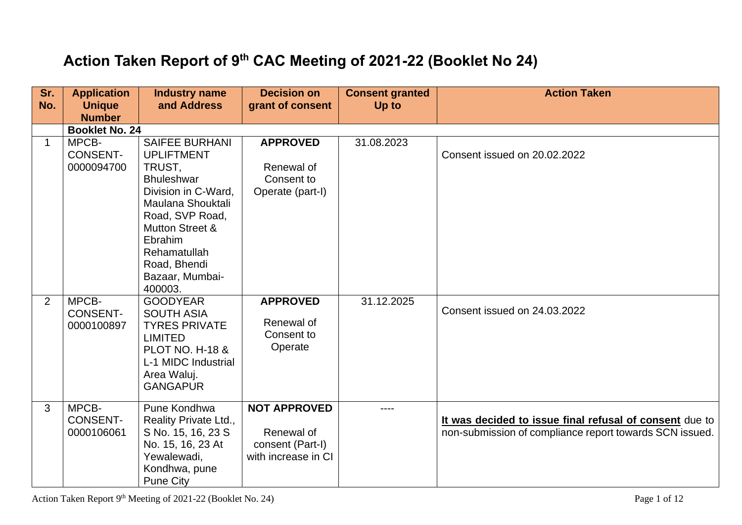## **Action Taken Report of 9th CAC Meeting of 2021-22 (Booklet No 24)**

| Sr.<br>No.  | <b>Application</b><br><b>Unique</b><br><b>Number</b> | <b>Industry name</b><br>and Address                                                                                                                                                                                                  | <b>Decision on</b><br>grant of consent                                       | <b>Consent granted</b><br>Up to | <b>Action Taken</b>                                                                                                |
|-------------|------------------------------------------------------|--------------------------------------------------------------------------------------------------------------------------------------------------------------------------------------------------------------------------------------|------------------------------------------------------------------------------|---------------------------------|--------------------------------------------------------------------------------------------------------------------|
|             | <b>Booklet No. 24</b>                                |                                                                                                                                                                                                                                      |                                                                              |                                 |                                                                                                                    |
| $\mathbf 1$ | MPCB-<br><b>CONSENT-</b><br>0000094700               | <b>SAIFEE BURHANI</b><br><b>UPLIFTMENT</b><br>TRUST,<br><b>Bhuleshwar</b><br>Division in C-Ward,<br>Maulana Shouktali<br>Road, SVP Road,<br><b>Mutton Street &amp;</b><br>Ebrahim<br>Rehamatullah<br>Road, Bhendi<br>Bazaar, Mumbai- | <b>APPROVED</b><br>Renewal of<br>Consent to<br>Operate (part-I)              | 31.08.2023                      | Consent issued on 20.02.2022                                                                                       |
| 2           | MPCB-<br><b>CONSENT-</b><br>0000100897               | 400003.<br><b>GOODYEAR</b><br><b>SOUTH ASIA</b><br><b>TYRES PRIVATE</b><br><b>LIMITED</b><br><b>PLOT NO. H-18 &amp;</b><br>L-1 MIDC Industrial<br>Area Waluj.<br><b>GANGAPUR</b>                                                     | <b>APPROVED</b><br>Renewal of<br>Consent to<br>Operate                       | 31.12.2025                      | Consent issued on 24.03.2022                                                                                       |
| 3           | MPCB-<br><b>CONSENT-</b><br>0000106061               | Pune Kondhwa<br>Reality Private Ltd.,<br>S No. 15, 16, 23 S<br>No. 15, 16, 23 At<br>Yewalewadi,<br>Kondhwa, pune<br><b>Pune City</b>                                                                                                 | <b>NOT APPROVED</b><br>Renewal of<br>consent (Part-I)<br>with increase in CI | $---$                           | It was decided to issue final refusal of consent due to<br>non-submission of compliance report towards SCN issued. |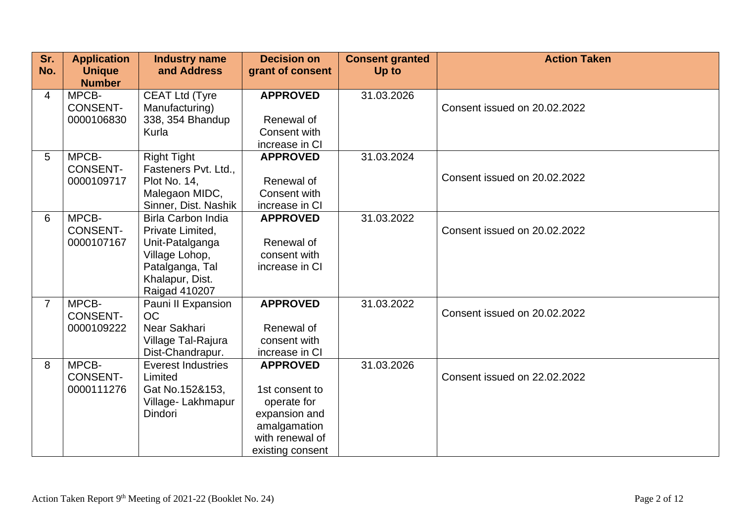| Sr.<br>No.     | <b>Application</b><br><b>Unique</b> | <b>Industry name</b><br>and Address | <b>Decision on</b><br>grant of consent | <b>Consent granted</b><br>Up to | <b>Action Taken</b>          |
|----------------|-------------------------------------|-------------------------------------|----------------------------------------|---------------------------------|------------------------------|
|                | <b>Number</b>                       |                                     |                                        |                                 |                              |
| 4              | MPCB-                               | <b>CEAT Ltd (Tyre</b>               | <b>APPROVED</b>                        | 31.03.2026                      |                              |
|                | <b>CONSENT-</b>                     | Manufacturing)                      |                                        |                                 | Consent issued on 20.02.2022 |
|                | 0000106830                          | 338, 354 Bhandup                    | Renewal of                             |                                 |                              |
|                |                                     | Kurla                               | Consent with                           |                                 |                              |
|                |                                     |                                     | increase in CI                         |                                 |                              |
| 5              | MPCB-                               | <b>Right Tight</b>                  | <b>APPROVED</b>                        | 31.03.2024                      |                              |
|                | <b>CONSENT-</b>                     | Fasteners Pvt. Ltd.,                |                                        |                                 | Consent issued on 20.02.2022 |
|                | 0000109717                          | Plot No. 14,<br>Malegaon MIDC,      | Renewal of<br>Consent with             |                                 |                              |
|                |                                     | Sinner, Dist. Nashik                | increase in CI                         |                                 |                              |
| 6              | MPCB-                               | <b>Birla Carbon India</b>           | <b>APPROVED</b>                        | 31.03.2022                      |                              |
|                | <b>CONSENT-</b>                     | Private Limited.                    |                                        |                                 | Consent issued on 20.02.2022 |
|                | 0000107167                          | Unit-Patalganga                     | Renewal of                             |                                 |                              |
|                |                                     | Village Lohop,                      | consent with                           |                                 |                              |
|                |                                     | Patalganga, Tal                     | increase in CI                         |                                 |                              |
|                |                                     | Khalapur, Dist.                     |                                        |                                 |                              |
|                |                                     | Raigad 410207                       |                                        |                                 |                              |
| $\overline{7}$ | MPCB-                               | Pauni II Expansion                  | <b>APPROVED</b>                        | 31.03.2022                      |                              |
|                | <b>CONSENT-</b>                     | <b>OC</b>                           |                                        |                                 | Consent issued on 20.02.2022 |
|                | 0000109222                          | Near Sakhari                        | Renewal of                             |                                 |                              |
|                |                                     | Village Tal-Rajura                  | consent with                           |                                 |                              |
|                |                                     | Dist-Chandrapur.                    | increase in CI                         |                                 |                              |
| 8              | MPCB-                               | <b>Everest Industries</b>           | <b>APPROVED</b>                        | 31.03.2026                      |                              |
|                | <b>CONSENT-</b>                     | Limited                             |                                        |                                 | Consent issued on 22,02,2022 |
|                | 0000111276                          | Gat No.152&153,                     | 1st consent to                         |                                 |                              |
|                |                                     | Village-Lakhmapur                   | operate for                            |                                 |                              |
|                |                                     | Dindori                             | expansion and                          |                                 |                              |
|                |                                     |                                     | amalgamation<br>with renewal of        |                                 |                              |
|                |                                     |                                     |                                        |                                 |                              |
|                |                                     |                                     | existing consent                       |                                 |                              |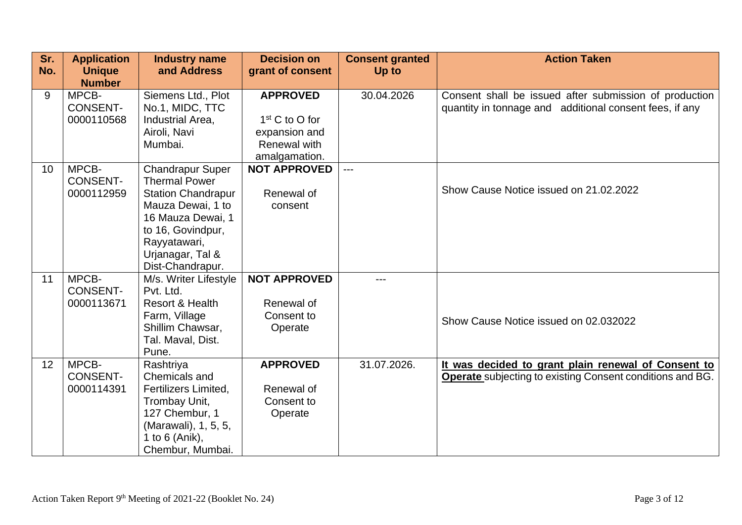| Sr.<br>No. | <b>Application</b><br><b>Unique</b><br><b>Number</b> | <b>Industry name</b><br>and Address                                                                                                                                                                 | <b>Decision on</b><br>grant of consent                                                | <b>Consent granted</b><br>Up to | <b>Action Taken</b>                                                                                                     |
|------------|------------------------------------------------------|-----------------------------------------------------------------------------------------------------------------------------------------------------------------------------------------------------|---------------------------------------------------------------------------------------|---------------------------------|-------------------------------------------------------------------------------------------------------------------------|
| 9          | MPCB-<br><b>CONSENT-</b><br>0000110568               | Siemens Ltd., Plot<br>No.1, MIDC, TTC<br>Industrial Area,<br>Airoli, Navi<br>Mumbai.                                                                                                                | <b>APPROVED</b><br>$1st$ C to O for<br>expansion and<br>Renewal with<br>amalgamation. | 30.04.2026                      | Consent shall be issued after submission of production<br>quantity in tonnage and additional consent fees, if any       |
| 10         | MPCB-<br><b>CONSENT-</b><br>0000112959               | <b>Chandrapur Super</b><br><b>Thermal Power</b><br><b>Station Chandrapur</b><br>Mauza Dewai, 1 to<br>16 Mauza Dewai, 1<br>to 16, Govindpur,<br>Rayyatawari,<br>Urjanagar, Tal &<br>Dist-Chandrapur. | <b>NOT APPROVED</b><br>Renewal of<br>consent                                          | $---$                           | Show Cause Notice issued on 21.02.2022                                                                                  |
| 11         | MPCB-<br><b>CONSENT-</b><br>0000113671               | M/s. Writer Lifestyle<br>Pvt. Ltd.<br>Resort & Health<br>Farm, Village<br>Shillim Chawsar,<br>Tal. Maval, Dist.<br>Pune.                                                                            | <b>NOT APPROVED</b><br>Renewal of<br>Consent to<br>Operate                            |                                 | Show Cause Notice issued on 02,032022                                                                                   |
| 12         | MPCB-<br><b>CONSENT-</b><br>0000114391               | Rashtriya<br>Chemicals and<br><b>Fertilizers Limited.</b><br>Trombay Unit,<br>127 Chembur, 1<br>(Marawali), 1, 5, 5,<br>1 to 6 (Anik),<br>Chembur, Mumbai.                                          | <b>APPROVED</b><br>Renewal of<br>Consent to<br>Operate                                | 31.07.2026.                     | It was decided to grant plain renewal of Consent to<br><b>Operate</b> subjecting to existing Consent conditions and BG. |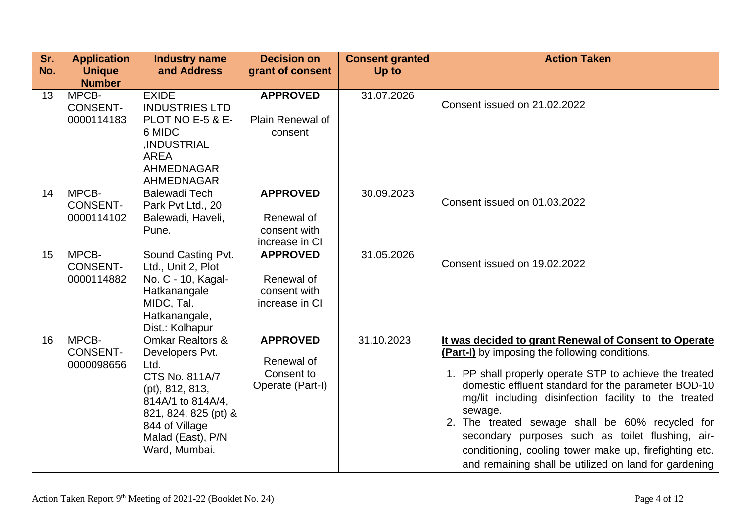| Sr.<br>No. | <b>Application</b><br><b>Unique</b><br><b>Number</b> | <b>Industry name</b><br>and Address                                                                                                                                                              | <b>Decision on</b><br>grant of consent                          | <b>Consent granted</b><br>Up to | <b>Action Taken</b>                                                                                                                                                                                                                                                                                                                                                                                                                                                                                                     |
|------------|------------------------------------------------------|--------------------------------------------------------------------------------------------------------------------------------------------------------------------------------------------------|-----------------------------------------------------------------|---------------------------------|-------------------------------------------------------------------------------------------------------------------------------------------------------------------------------------------------------------------------------------------------------------------------------------------------------------------------------------------------------------------------------------------------------------------------------------------------------------------------------------------------------------------------|
| 13         | MPCB-<br><b>CONSENT-</b><br>0000114183               | <b>EXIDE</b><br><b>INDUSTRIES LTD</b><br>PLOT NO E-5 & E-<br>6 MIDC<br>,INDUSTRIAL<br><b>AREA</b><br><b>AHMEDNAGAR</b><br><b>AHMEDNAGAR</b>                                                      | <b>APPROVED</b><br>Plain Renewal of<br>consent                  | 31.07.2026                      | Consent issued on 21.02.2022                                                                                                                                                                                                                                                                                                                                                                                                                                                                                            |
| 14         | MPCB-<br><b>CONSENT-</b><br>0000114102               | <b>Balewadi Tech</b><br>Park Pvt Ltd., 20<br>Balewadi, Haveli,<br>Pune.                                                                                                                          | <b>APPROVED</b><br>Renewal of<br>consent with<br>increase in CI | 30.09.2023                      | Consent issued on 01.03.2022                                                                                                                                                                                                                                                                                                                                                                                                                                                                                            |
| 15         | MPCB-<br><b>CONSENT-</b><br>0000114882               | Sound Casting Pvt.<br>Ltd., Unit 2, Plot<br>No. C - 10, Kagal-<br>Hatkanangale<br>MIDC, Tal.<br>Hatkanangale,<br>Dist.: Kolhapur                                                                 | <b>APPROVED</b><br>Renewal of<br>consent with<br>increase in CI | 31.05.2026                      | Consent issued on 19.02.2022                                                                                                                                                                                                                                                                                                                                                                                                                                                                                            |
| 16         | MPCB-<br><b>CONSENT-</b><br>0000098656               | <b>Omkar Realtors &amp;</b><br>Developers Pvt.<br>Ltd.<br>CTS No. 811A/7<br>(pt), 812, 813,<br>814A/1 to 814A/4,<br>821, 824, 825 (pt) &<br>844 of Village<br>Malad (East), P/N<br>Ward, Mumbai. | <b>APPROVED</b><br>Renewal of<br>Consent to<br>Operate (Part-I) | 31.10.2023                      | It was decided to grant Renewal of Consent to Operate<br>(Part-I) by imposing the following conditions.<br>1. PP shall properly operate STP to achieve the treated<br>domestic effluent standard for the parameter BOD-10<br>mg/lit including disinfection facility to the treated<br>sewage.<br>2. The treated sewage shall be 60% recycled for<br>secondary purposes such as toilet flushing, air-<br>conditioning, cooling tower make up, firefighting etc.<br>and remaining shall be utilized on land for gardening |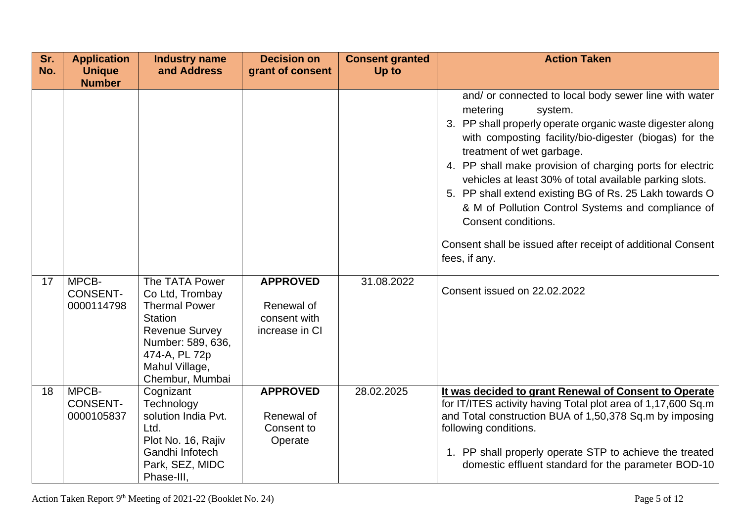| Sr.<br>No. | <b>Application</b><br><b>Unique</b>    | <b>Industry name</b><br>and Address                                                                                                                                             | <b>Decision on</b><br>grant of consent                          | <b>Consent granted</b><br>Up to | <b>Action Taken</b>                                                                                                                                                                                                                                                                                                                                                                                                                                                                                                                                                              |
|------------|----------------------------------------|---------------------------------------------------------------------------------------------------------------------------------------------------------------------------------|-----------------------------------------------------------------|---------------------------------|----------------------------------------------------------------------------------------------------------------------------------------------------------------------------------------------------------------------------------------------------------------------------------------------------------------------------------------------------------------------------------------------------------------------------------------------------------------------------------------------------------------------------------------------------------------------------------|
|            | <b>Number</b>                          |                                                                                                                                                                                 |                                                                 |                                 | and/ or connected to local body sewer line with water<br>metering<br>system.<br>3. PP shall properly operate organic waste digester along<br>with composting facility/bio-digester (biogas) for the<br>treatment of wet garbage.<br>4. PP shall make provision of charging ports for electric<br>vehicles at least 30% of total available parking slots.<br>5. PP shall extend existing BG of Rs. 25 Lakh towards O<br>& M of Pollution Control Systems and compliance of<br>Consent conditions.<br>Consent shall be issued after receipt of additional Consent<br>fees, if any. |
| 17         | MPCB-<br><b>CONSENT-</b><br>0000114798 | The TATA Power<br>Co Ltd, Trombay<br><b>Thermal Power</b><br><b>Station</b><br><b>Revenue Survey</b><br>Number: 589, 636,<br>474-A, PL 72p<br>Mahul Village,<br>Chembur, Mumbai | <b>APPROVED</b><br>Renewal of<br>consent with<br>increase in CI | 31.08.2022                      | Consent issued on 22.02.2022                                                                                                                                                                                                                                                                                                                                                                                                                                                                                                                                                     |
| 18         | MPCB-<br><b>CONSENT-</b><br>0000105837 | Cognizant<br>Technology<br>solution India Pvt.<br>Ltd.<br>Plot No. 16, Rajiv<br>Gandhi Infotech<br>Park, SEZ, MIDC<br>Phase-III,                                                | <b>APPROVED</b><br>Renewal of<br>Consent to<br>Operate          | 28.02.2025                      | It was decided to grant Renewal of Consent to Operate<br>for IT/ITES activity having Total plot area of 1,17,600 Sq.m<br>and Total construction BUA of 1,50,378 Sq.m by imposing<br>following conditions.<br>1. PP shall properly operate STP to achieve the treated<br>domestic effluent standard for the parameter BOD-10                                                                                                                                                                                                                                                      |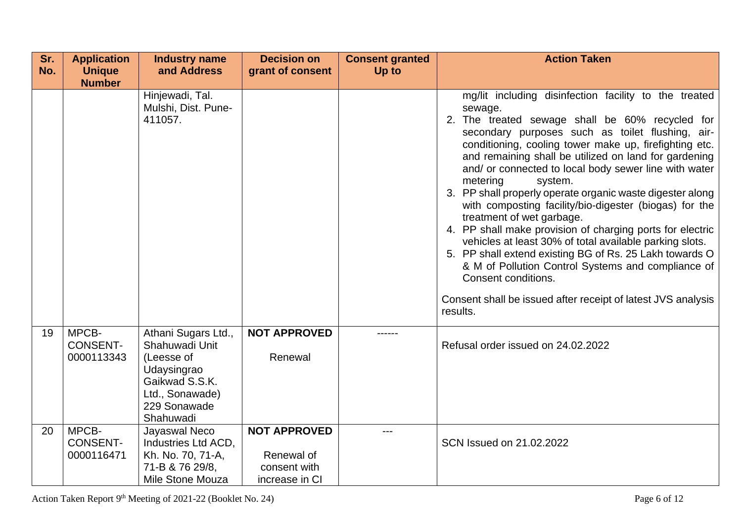| Sr.<br>No. | <b>Application</b><br><b>Unique</b>    | <b>Industry name</b><br>and Address                                                                                                  | <b>Decision on</b><br>grant of consent                              | <b>Consent granted</b><br>Up to | <b>Action Taken</b>                                                                                                                                                                                                                                                                                                                                                                                                                                                                                                                                                                                                                                                                                                                                                                                                                                                        |
|------------|----------------------------------------|--------------------------------------------------------------------------------------------------------------------------------------|---------------------------------------------------------------------|---------------------------------|----------------------------------------------------------------------------------------------------------------------------------------------------------------------------------------------------------------------------------------------------------------------------------------------------------------------------------------------------------------------------------------------------------------------------------------------------------------------------------------------------------------------------------------------------------------------------------------------------------------------------------------------------------------------------------------------------------------------------------------------------------------------------------------------------------------------------------------------------------------------------|
|            | <b>Number</b>                          |                                                                                                                                      |                                                                     |                                 |                                                                                                                                                                                                                                                                                                                                                                                                                                                                                                                                                                                                                                                                                                                                                                                                                                                                            |
|            |                                        | Hinjewadi, Tal.<br>Mulshi, Dist. Pune-<br>411057.                                                                                    |                                                                     |                                 | mg/lit including disinfection facility to the treated<br>sewage.<br>2. The treated sewage shall be 60% recycled for<br>secondary purposes such as toilet flushing, air-<br>conditioning, cooling tower make up, firefighting etc.<br>and remaining shall be utilized on land for gardening<br>and/ or connected to local body sewer line with water<br>metering<br>system.<br>3. PP shall properly operate organic waste digester along<br>with composting facility/bio-digester (biogas) for the<br>treatment of wet garbage.<br>4. PP shall make provision of charging ports for electric<br>vehicles at least 30% of total available parking slots.<br>5. PP shall extend existing BG of Rs. 25 Lakh towards O<br>& M of Pollution Control Systems and compliance of<br>Consent conditions.<br>Consent shall be issued after receipt of latest JVS analysis<br>results. |
| 19         | MPCB-<br><b>CONSENT-</b><br>0000113343 | Athani Sugars Ltd.,<br>Shahuwadi Unit<br>(Leesse of<br>Udaysingrao<br>Gaikwad S.S.K.<br>Ltd., Sonawade)<br>229 Sonawade<br>Shahuwadi | <b>NOT APPROVED</b><br>Renewal                                      |                                 | Refusal order issued on 24.02.2022                                                                                                                                                                                                                                                                                                                                                                                                                                                                                                                                                                                                                                                                                                                                                                                                                                         |
| 20         | MPCB-<br><b>CONSENT-</b><br>0000116471 | Jayaswal Neco<br>Industries Ltd ACD,<br>Kh. No. 70, 71-A,<br>71-B & 76 29/8,<br>Mile Stone Mouza                                     | <b>NOT APPROVED</b><br>Renewal of<br>consent with<br>increase in CI | ---                             | SCN Issued on 21.02.2022                                                                                                                                                                                                                                                                                                                                                                                                                                                                                                                                                                                                                                                                                                                                                                                                                                                   |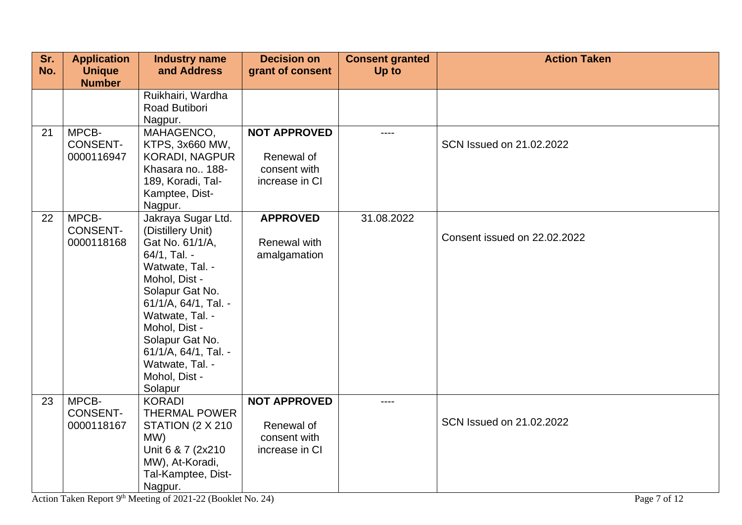| Sr. | <b>Application</b> | <b>Industry name</b>                    | <b>Decision on</b>         | <b>Consent granted</b> | <b>Action Taken</b>          |
|-----|--------------------|-----------------------------------------|----------------------------|------------------------|------------------------------|
| No. | <b>Unique</b>      | and Address                             | grant of consent           | Up to                  |                              |
|     | <b>Number</b>      |                                         |                            |                        |                              |
|     |                    | Ruikhairi, Wardha<br>Road Butibori      |                            |                        |                              |
|     |                    | Nagpur.                                 |                            |                        |                              |
| 21  | MPCB-              | MAHAGENCO,                              | <b>NOT APPROVED</b>        | $- - - -$              |                              |
|     | <b>CONSENT-</b>    | KTPS, 3x660 MW,                         |                            |                        | SCN Issued on 21.02.2022     |
|     | 0000116947         | <b>KORADI, NAGPUR</b>                   | Renewal of                 |                        |                              |
|     |                    | Khasara no 188-                         | consent with               |                        |                              |
|     |                    | 189, Koradi, Tal-                       | increase in CI             |                        |                              |
|     |                    | Kamptee, Dist-                          |                            |                        |                              |
|     |                    | Nagpur.                                 |                            |                        |                              |
| 22  | MPCB-              | Jakraya Sugar Ltd.                      | <b>APPROVED</b>            | 31.08.2022             |                              |
|     | <b>CONSENT-</b>    | (Distillery Unit)                       |                            |                        | Consent issued on 22.02.2022 |
|     | 0000118168         | Gat No. 61/1/A,                         | Renewal with               |                        |                              |
|     |                    | 64/1, Tal. -                            | amalgamation               |                        |                              |
|     |                    | Watwate, Tal. -                         |                            |                        |                              |
|     |                    | Mohol, Dist -                           |                            |                        |                              |
|     |                    | Solapur Gat No.<br>61/1/A, 64/1, Tal. - |                            |                        |                              |
|     |                    | Watwate, Tal. -                         |                            |                        |                              |
|     |                    | Mohol, Dist -                           |                            |                        |                              |
|     |                    | Solapur Gat No.                         |                            |                        |                              |
|     |                    | 61/1/A, 64/1, Tal. -                    |                            |                        |                              |
|     |                    | Watwate, Tal. -                         |                            |                        |                              |
|     |                    | Mohol, Dist -                           |                            |                        |                              |
|     |                    | Solapur                                 |                            |                        |                              |
| 23  | MPCB-              | <b>KORADI</b>                           | <b>NOT APPROVED</b>        | ----                   |                              |
|     | <b>CONSENT-</b>    | <b>THERMAL POWER</b>                    |                            |                        | SCN Issued on 21.02.2022     |
|     | 0000118167         | STATION (2 X 210                        | Renewal of<br>consent with |                        |                              |
|     |                    | MW)<br>Unit 6 & 7 (2x210)               | increase in CI             |                        |                              |
|     |                    | MW), At-Koradi,                         |                            |                        |                              |
|     |                    | Tal-Kamptee, Dist-                      |                            |                        |                              |
|     |                    | Nagpur.                                 |                            |                        |                              |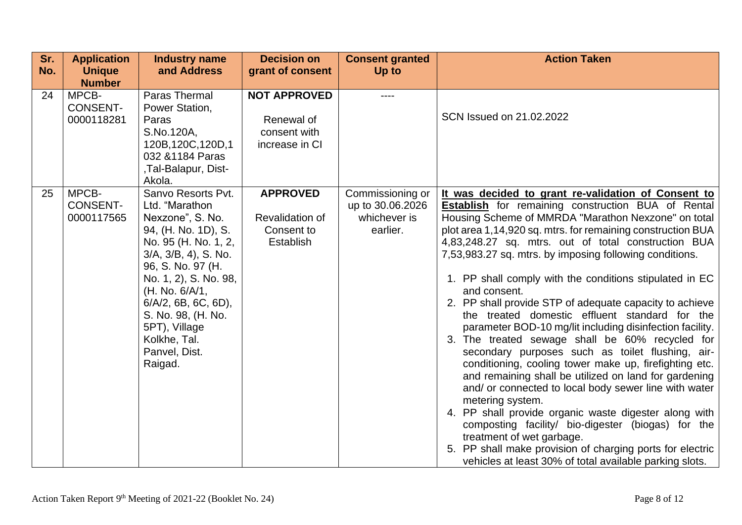| Sr.<br>No. | <b>Application</b><br><b>Unique</b>    | <b>Industry name</b><br>and Address                                                                                                                                                                                                                                                                                   | <b>Decision on</b><br>grant of consent                               | <b>Consent granted</b><br>Up to                                  | <b>Action Taken</b>                                                                                                                                                                                                                                                                                                                                                                                                                                                                                                                                                                                                                                                                                                                                                                                                                                                                                                                                                                                                                                                                                                                                                                     |
|------------|----------------------------------------|-----------------------------------------------------------------------------------------------------------------------------------------------------------------------------------------------------------------------------------------------------------------------------------------------------------------------|----------------------------------------------------------------------|------------------------------------------------------------------|-----------------------------------------------------------------------------------------------------------------------------------------------------------------------------------------------------------------------------------------------------------------------------------------------------------------------------------------------------------------------------------------------------------------------------------------------------------------------------------------------------------------------------------------------------------------------------------------------------------------------------------------------------------------------------------------------------------------------------------------------------------------------------------------------------------------------------------------------------------------------------------------------------------------------------------------------------------------------------------------------------------------------------------------------------------------------------------------------------------------------------------------------------------------------------------------|
|            | <b>Number</b>                          |                                                                                                                                                                                                                                                                                                                       |                                                                      |                                                                  |                                                                                                                                                                                                                                                                                                                                                                                                                                                                                                                                                                                                                                                                                                                                                                                                                                                                                                                                                                                                                                                                                                                                                                                         |
| 24         | MPCB-<br><b>CONSENT-</b><br>0000118281 | Paras Thermal<br>Power Station,<br>Paras<br>S.No.120A,<br>120B, 120C, 120D, 1<br>032 & 1184 Paras<br>,Tal-Balapur, Dist-<br>Akola.                                                                                                                                                                                    | <b>NOT APPROVED</b><br>Renewal of<br>consent with<br>increase in CI  | ----                                                             | SCN Issued on 21.02.2022                                                                                                                                                                                                                                                                                                                                                                                                                                                                                                                                                                                                                                                                                                                                                                                                                                                                                                                                                                                                                                                                                                                                                                |
| 25         | MPCB-<br><b>CONSENT-</b><br>0000117565 | Sanvo Resorts Pvt.<br>Ltd. "Marathon<br>Nexzone", S. No.<br>94, (H. No. 1D), S.<br>No. 95 (H. No. 1, 2,<br>$3/A$ , $3/B$ , $4$ ), S. No.<br>96, S. No. 97 (H.<br>No. 1, 2), S. No. 98,<br>(H. No. 6/A/1,<br>$6/A/2$ , 6B, 6C, 6D),<br>S. No. 98, (H. No.<br>5PT), Village<br>Kolkhe, Tal.<br>Panvel, Dist.<br>Raigad. | <b>APPROVED</b><br>Revalidation of<br>Consent to<br><b>Establish</b> | Commissioning or<br>up to 30.06.2026<br>whichever is<br>earlier. | It was decided to grant re-validation of Consent to<br><b>Establish</b> for remaining construction BUA of Rental<br>Housing Scheme of MMRDA "Marathon Nexzone" on total<br>plot area 1,14,920 sq. mtrs. for remaining construction BUA<br>4,83,248.27 sq. mtrs. out of total construction BUA<br>7,53,983.27 sq. mtrs. by imposing following conditions.<br>1. PP shall comply with the conditions stipulated in EC<br>and consent.<br>2. PP shall provide STP of adequate capacity to achieve<br>the treated domestic effluent standard for the<br>parameter BOD-10 mg/lit including disinfection facility.<br>3. The treated sewage shall be 60% recycled for<br>secondary purposes such as toilet flushing, air-<br>conditioning, cooling tower make up, firefighting etc.<br>and remaining shall be utilized on land for gardening<br>and/ or connected to local body sewer line with water<br>metering system.<br>4. PP shall provide organic waste digester along with<br>composting facility/ bio-digester (biogas) for the<br>treatment of wet garbage.<br>5. PP shall make provision of charging ports for electric<br>vehicles at least 30% of total available parking slots. |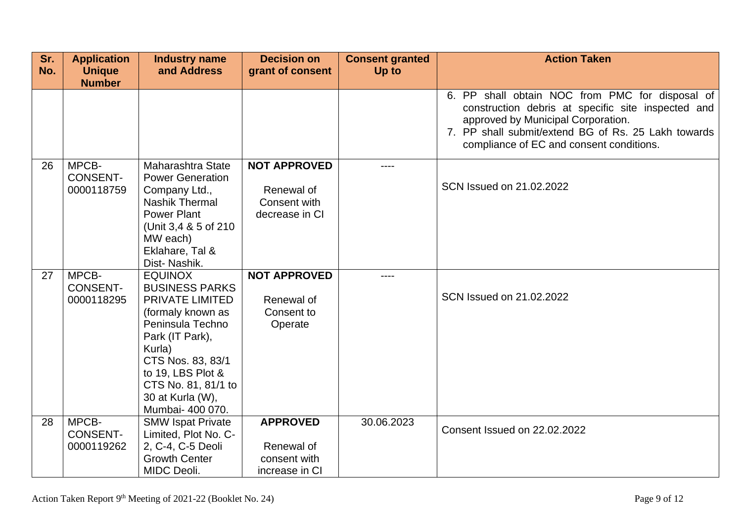| Sr. | <b>Application</b>                     | <b>Industry name</b>                                                                                                                                                                                                                             | <b>Decision on</b>                                                  | <b>Consent granted</b> | <b>Action Taken</b>                                                                                                                                                                                                                            |
|-----|----------------------------------------|--------------------------------------------------------------------------------------------------------------------------------------------------------------------------------------------------------------------------------------------------|---------------------------------------------------------------------|------------------------|------------------------------------------------------------------------------------------------------------------------------------------------------------------------------------------------------------------------------------------------|
| No. | <b>Unique</b><br><b>Number</b>         | and Address                                                                                                                                                                                                                                      | grant of consent                                                    | Up to                  |                                                                                                                                                                                                                                                |
|     |                                        |                                                                                                                                                                                                                                                  |                                                                     |                        | 6. PP shall obtain NOC from PMC for disposal of<br>construction debris at specific site inspected and<br>approved by Municipal Corporation.<br>7. PP shall submit/extend BG of Rs. 25 Lakh towards<br>compliance of EC and consent conditions. |
| 26  | MPCB-<br><b>CONSENT-</b><br>0000118759 | Maharashtra State<br><b>Power Generation</b><br>Company Ltd.,<br><b>Nashik Thermal</b><br><b>Power Plant</b><br>(Unit 3,4 & 5 of 210)<br>MW each)<br>Eklahare, Tal &<br>Dist-Nashik.                                                             | <b>NOT APPROVED</b><br>Renewal of<br>Consent with<br>decrease in CI | ----                   | SCN Issued on 21.02.2022                                                                                                                                                                                                                       |
| 27  | MPCB-<br><b>CONSENT-</b><br>0000118295 | <b>EQUINOX</b><br><b>BUSINESS PARKS</b><br><b>PRIVATE LIMITED</b><br>(formaly known as<br>Peninsula Techno<br>Park (IT Park),<br>Kurla)<br>CTS Nos. 83, 83/1<br>to 19, LBS Plot &<br>CTS No. 81, 81/1 to<br>30 at Kurla (W),<br>Mumbai- 400 070. | <b>NOT APPROVED</b><br>Renewal of<br>Consent to<br>Operate          | ----                   | SCN Issued on 21,02,2022                                                                                                                                                                                                                       |
| 28  | MPCB-<br><b>CONSENT-</b><br>0000119262 | <b>SMW Ispat Private</b><br>Limited, Plot No. C-<br>2, C-4, C-5 Deoli<br><b>Growth Center</b><br>MIDC Deoli.                                                                                                                                     | <b>APPROVED</b><br>Renewal of<br>consent with<br>increase in CI     | 30.06.2023             | Consent Issued on 22.02.2022                                                                                                                                                                                                                   |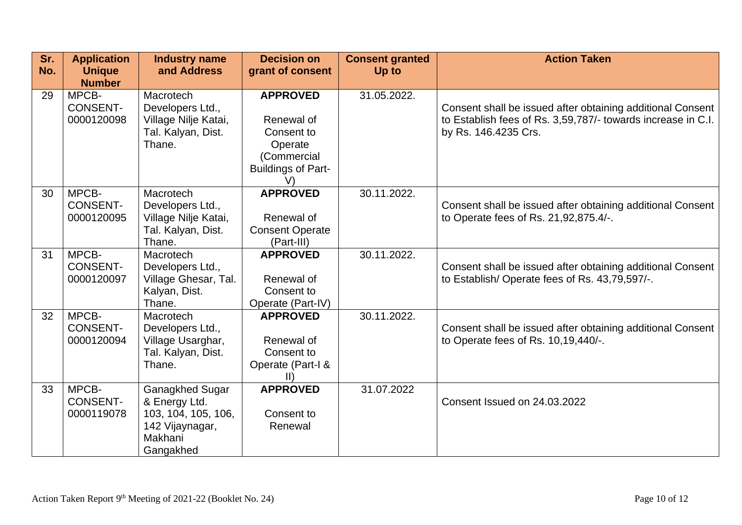| Sr.<br>No. | <b>Application</b><br><b>Unique</b><br><b>Number</b> | <b>Industry name</b><br>and Address                                                                | <b>Decision on</b><br>grant of consent                                                                   | <b>Consent granted</b><br>Up to | <b>Action Taken</b>                                                                                                                                |
|------------|------------------------------------------------------|----------------------------------------------------------------------------------------------------|----------------------------------------------------------------------------------------------------------|---------------------------------|----------------------------------------------------------------------------------------------------------------------------------------------------|
| 29         | MPCB-<br><b>CONSENT-</b><br>0000120098               | Macrotech<br>Developers Ltd.,<br>Village Nilje Katai,<br>Tal. Kalyan, Dist.<br>Thane.              | <b>APPROVED</b><br>Renewal of<br>Consent to<br>Operate<br>(Commercial<br><b>Buildings of Part-</b><br>V) | 31.05.2022.                     | Consent shall be issued after obtaining additional Consent<br>to Establish fees of Rs. 3,59,787/- towards increase in C.I.<br>by Rs. 146.4235 Crs. |
| 30         | MPCB-<br><b>CONSENT-</b><br>0000120095               | Macrotech<br>Developers Ltd.,<br>Village Nilje Katai,<br>Tal. Kalyan, Dist.<br>Thane.              | <b>APPROVED</b><br>Renewal of<br><b>Consent Operate</b><br>(Part-III)                                    | 30.11.2022.                     | Consent shall be issued after obtaining additional Consent<br>to Operate fees of Rs. 21,92,875.4/-.                                                |
| 31         | MPCB-<br><b>CONSENT-</b><br>0000120097               | Macrotech<br>Developers Ltd.,<br>Village Ghesar, Tal.<br>Kalyan, Dist.<br>Thane.                   | <b>APPROVED</b><br>Renewal of<br>Consent to<br>Operate (Part-IV)                                         | 30.11.2022.                     | Consent shall be issued after obtaining additional Consent<br>to Establish/Operate fees of Rs. 43,79,597/-.                                        |
| 32         | MPCB-<br><b>CONSENT-</b><br>0000120094               | Macrotech<br>Developers Ltd.,<br>Village Usarghar,<br>Tal. Kalyan, Dist.<br>Thane.                 | <b>APPROVED</b><br>Renewal of<br>Consent to<br>Operate (Part-I &<br>$\parallel$                          | 30.11.2022.                     | Consent shall be issued after obtaining additional Consent<br>to Operate fees of Rs. 10, 19, 440/-.                                                |
| 33         | MPCB-<br><b>CONSENT-</b><br>0000119078               | Ganagkhed Sugar<br>& Energy Ltd.<br>103, 104, 105, 106,<br>142 Vijaynagar,<br>Makhani<br>Gangakhed | <b>APPROVED</b><br>Consent to<br>Renewal                                                                 | 31.07.2022                      | Consent Issued on 24.03.2022                                                                                                                       |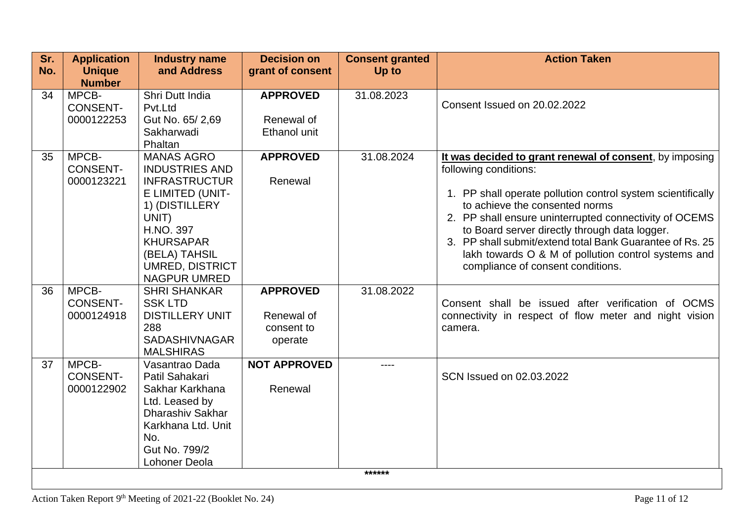| Sr.<br>No. | <b>Application</b><br><b>Unique</b><br><b>Number</b> | <b>Industry name</b><br>and Address                                                                                                                                                                                  | <b>Decision on</b><br>grant of consent                 | <b>Consent granted</b><br>Up to | <b>Action Taken</b>                                                                                                                                                                                                                                                                                                                                                                                                                                  |
|------------|------------------------------------------------------|----------------------------------------------------------------------------------------------------------------------------------------------------------------------------------------------------------------------|--------------------------------------------------------|---------------------------------|------------------------------------------------------------------------------------------------------------------------------------------------------------------------------------------------------------------------------------------------------------------------------------------------------------------------------------------------------------------------------------------------------------------------------------------------------|
| 34         | MPCB-<br><b>CONSENT-</b><br>0000122253               | Shri Dutt India<br>Pvt.Ltd<br>Gut No. 65/2,69<br>Sakharwadi<br>Phaltan                                                                                                                                               | <b>APPROVED</b><br>Renewal of<br><b>Ethanol unit</b>   | 31.08.2023                      | Consent Issued on 20.02.2022                                                                                                                                                                                                                                                                                                                                                                                                                         |
| 35         | MPCB-<br><b>CONSENT-</b><br>0000123221               | <b>MANAS AGRO</b><br><b>INDUSTRIES AND</b><br><b>INFRASTRUCTUR</b><br>E LIMITED (UNIT-<br>1) (DISTILLERY<br>UNIT)<br>H.NO. 397<br><b>KHURSAPAR</b><br>(BELA) TAHSIL<br><b>UMRED, DISTRICT</b><br><b>NAGPUR UMRED</b> | <b>APPROVED</b><br>Renewal                             | 31.08.2024                      | It was decided to grant renewal of consent, by imposing<br>following conditions:<br>1. PP shall operate pollution control system scientifically<br>to achieve the consented norms<br>2. PP shall ensure uninterrupted connectivity of OCEMS<br>to Board server directly through data logger.<br>3. PP shall submit/extend total Bank Guarantee of Rs. 25<br>lakh towards O & M of pollution control systems and<br>compliance of consent conditions. |
| 36         | MPCB-<br><b>CONSENT-</b><br>0000124918               | <b>SHRI SHANKAR</b><br><b>SSK LTD</b><br><b>DISTILLERY UNIT</b><br>288<br><b>SADASHIVNAGAR</b><br><b>MALSHIRAS</b>                                                                                                   | <b>APPROVED</b><br>Renewal of<br>consent to<br>operate | 31.08.2022                      | Consent shall be issued after verification of OCMS<br>connectivity in respect of flow meter and night vision<br>camera.                                                                                                                                                                                                                                                                                                                              |
| 37         | MPCB-<br><b>CONSENT-</b><br>0000122902               | Vasantrao Dada<br>Patil Sahakari<br>Sakhar Karkhana<br>Ltd. Leased by<br>Dharashiv Sakhar<br>Karkhana Ltd. Unit<br>No.<br>Gut No. 799/2<br>Lohoner Deola                                                             | <b>NOT APPROVED</b><br>Renewal                         | ----<br>******                  | SCN Issued on 02.03.2022                                                                                                                                                                                                                                                                                                                                                                                                                             |
|            |                                                      |                                                                                                                                                                                                                      |                                                        |                                 |                                                                                                                                                                                                                                                                                                                                                                                                                                                      |